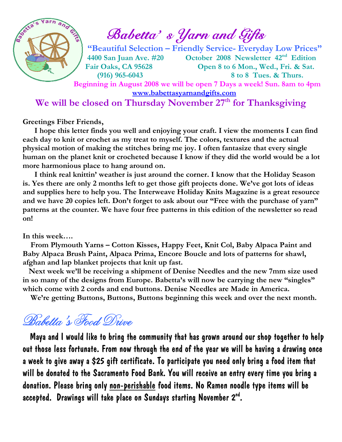

 $\int_{\mathscr{C}}^{\mathscr{C}} \mathscr{D}(\mathscr{C}) \mathscr{D}(\mathscr{C})$  Babetta's Yarn and Gifts

 "Beautiful Selection – Friendly Service- Everyday Low Prices" 4400 San Juan Ave. #20 October 2008 Newsletter 42nd Edition Fair Oaks, CA 95628 Open 8 to 6 Mon., Wed., Fri. & Sat. (916) 965-6043 8 to 8 Tues. & Thurs.

 Beginning in August 2008 we will be open 7 Days a week! Sun. 8am to 4pm www.babettasyarnandgifts.com

## We will be closed on Thursday November 27<sup>th</sup> for Thanksgiving

Greetings Fiber Friends,

 I hope this letter finds you well and enjoying your craft. I view the moments I can find each day to knit or crochet as my treat to myself. The colors, textures and the actual physical motion of making the stitches bring me joy. I often fantasize that every single human on the planet knit or crocheted because I know if they did the world would be a lot more harmonious place to hang around on.

 I think real knittin' weather is just around the corner. I know that the Holiday Season is. Yes there are only 2 months left to get those gift projects done. We've got lots of ideas and supplies here to help you. The Interweave Holiday Knits Magazine is a great resource and we have 20 copies left. Don't forget to ask about our "Free with the purchase of yarn" patterns at the counter. We have four free patterns in this edition of the newsletter so read on!

#### In this week….

 From Plymouth Yarns – Cotton Kisses, Happy Feet, Knit Col, Baby Alpaca Paint and Baby Alpaca Brush Paint, Alpaca Prima, Encore Boucle and lots of patterns for shawl, afghan and lap blanket projects that knit up fast.

 Next week we'll be receiving a shipment of Denise Needles and the new 7mm size used in so many of the designs from Europe. Babetta's will now be carrying the new "singles" which come with 2 cords and end buttons. Denise Needles are Made in America.

We're getting Buttons, Buttons, Buttons beginning this week and over the next month.

# Babetta's Food Drive

 Maya and I would like to bring the community that has grown around our shop together to help out those less fortunate. From now through the end of the year we will be having a drawing once a week to give away a \$25 gift certificate. To participate you need only bring a food item that will be donated to the Sacramento Food Bank. You will receive an entry every time you bring a donation. Please bring only non-perishable food items. No Ramen noodle type items will be accepted. Drawings will take place on Sundays starting November 2nd.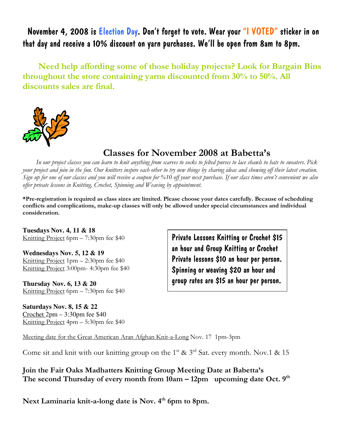November 4, 2008 is Election Day. Don't forget to vote. Wear your "I VOTED" sticker in on that day and receive a 10% discount on yarn purchases. We'll be open from 8am to 8pm.

 Need help affording some of those holiday projects? Look for Bargain Bins throughout the store containing yarns discounted from 30% to 50%. All discounts sales are final.



## Classes for November 2008 at Babetta's

 In our project classes you can learn to knit anything from scarves to socks to felted purses to lace shawls to hats to sweaters. Pick your project and join in the fun. Our knitters inspire each other to try new things by sharing ideas and showing off their latest creation. Sign up for one of our classes and you will receive a coupon for %10 off your next purchase. If our class times aren't convenient we also offer private lessons in Knitting, Crochet, Spinning and Weaving by appointment.

\*Pre-registration is required as class sizes are limited. Please choose your dates carefully. Because of scheduling conflicts and complications, make-up classes will only be allowed under special circumstances and individual consideration.

**Tuesdays Nov. 4, 11 & 18**  Knitting Project 6pm – 7:30pm fee \$40

**Wednesdays Nov. 5, 12 & 19**  Knitting Project 1pm – 2:30pm fee \$40 Knitting Project 3:00pm- 4:30pm fee \$40

**Thursday Nov. 6, 13 & 20**  Knitting Project 6pm – 7:30pm fee \$40

**Saturdays Nov. 8, 15 & 22**  Crochet 2pm – 3:30pm fee \$40 Knitting Project 4pm – 5:30pm fee \$40

Private Lessons Knitting or Crochet \$15 an hour and Group Knitting or Crochet Private lessons \$10 an hour per person. Spinning or weaving \$20 an hour and group rates are \$15 an hour per person.

Meeting date for the Great American Aran Afghan Knit-a-Long Nov. 17 1pm-3pm

Come sit and knit with our knitting group on the 1<sup>st</sup> & 3<sup>rd</sup> Sat. every month. Nov.1 & 15

Join the Fair Oaks Madhatters Knitting Group Meeting Date at Babetta's The second Thursday of every month from  $10am - 12pm$  upcoming date Oct.  $9<sup>th</sup>$ 

Next Laminaria knit-a-long date is Nov. 4<sup>th</sup> 6pm to 8pm.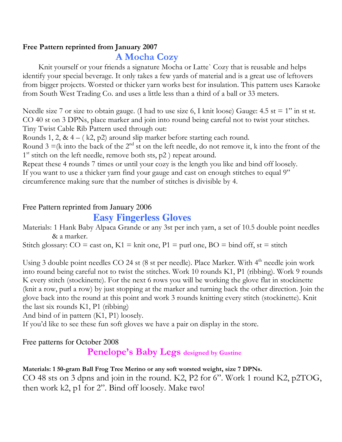### Free Pattern reprinted from January 2007

## A Mocha Cozy

Knit yourself or your friends a signature Mocha or Latte` Cozy that is reusable and helps identify your special beverage. It only takes a few yards of material and is a great use of leftovers from bigger projects. Worsted or thicker yarn works best for insulation. This pattern uses Karaoke from South West Trading Co. and uses a little less than a third of a ball or 33 meters.

Needle size 7 or size to obtain gauge. (I had to use size 6, I knit loose) Gauge: 4.5 st = 1" in st st. CO 40 st on 3 DPNs, place marker and join into round being careful not to twist your stitches. Tiny Twist Cable Rib Pattern used through out:

Rounds 1, 2, &  $4 - (k2, p2)$  around slip marker before starting each round.

Round 3 =(k into the back of the  $2<sup>nd</sup>$  st on the left needle, do not remove it, k into the front of the 1<sup>st</sup> stitch on the left needle, remove both sts, p2 ) repeat around.

Repeat these 4 rounds 7 times or until your cozy is the length you like and bind off loosely. If you want to use a thicker yarn find your gauge and cast on enough stitches to equal 9" circumference making sure that the number of stitches is divisible by 4.

#### Free Pattern reprinted from January 2006

## **Easy Fingerless Gloves**

Materials: 1 Hank Baby Alpaca Grande or any 3st per inch yarn, a set of 10.5 double point needles & a marker.

Stitch glossary:  $CO = \text{cast on}$ ,  $K1 = \text{knit one}$ ,  $P1 = \text{purl one}$ ,  $BO = \text{bind off}$ , st = stitch

Using 3 double point needles  $CO$  24 st (8 st per needle). Place Marker. With  $4<sup>th</sup>$  needle join work into round being careful not to twist the stitches. Work 10 rounds K1, P1 (ribbing). Work 9 rounds K every stitch (stockinette). For the next 6 rows you will be working the glove flat in stockinette (knit a row, purl a row) by just stopping at the marker and turning back the other direction. Join the glove back into the round at this point and work 3 rounds knitting every stitch (stockinette). Knit the last six rounds K1, P1 (ribbing)

And bind of in pattern (K1, P1) loosely.

If you'd like to see these fun soft gloves we have a pair on display in the store.

Free patterns for October 2008

Penelope's Baby Legs designed by Gustine

#### Materials: 1 50-gram Ball Frog Tree Merino or any soft worsted weight, size 7 DPNs.

CO 48 sts on 3 dpns and join in the round. K2, P2 for 6". Work 1 round K2, p2TOG, then work k2, p1 for 2". Bind off loosely. Make two!